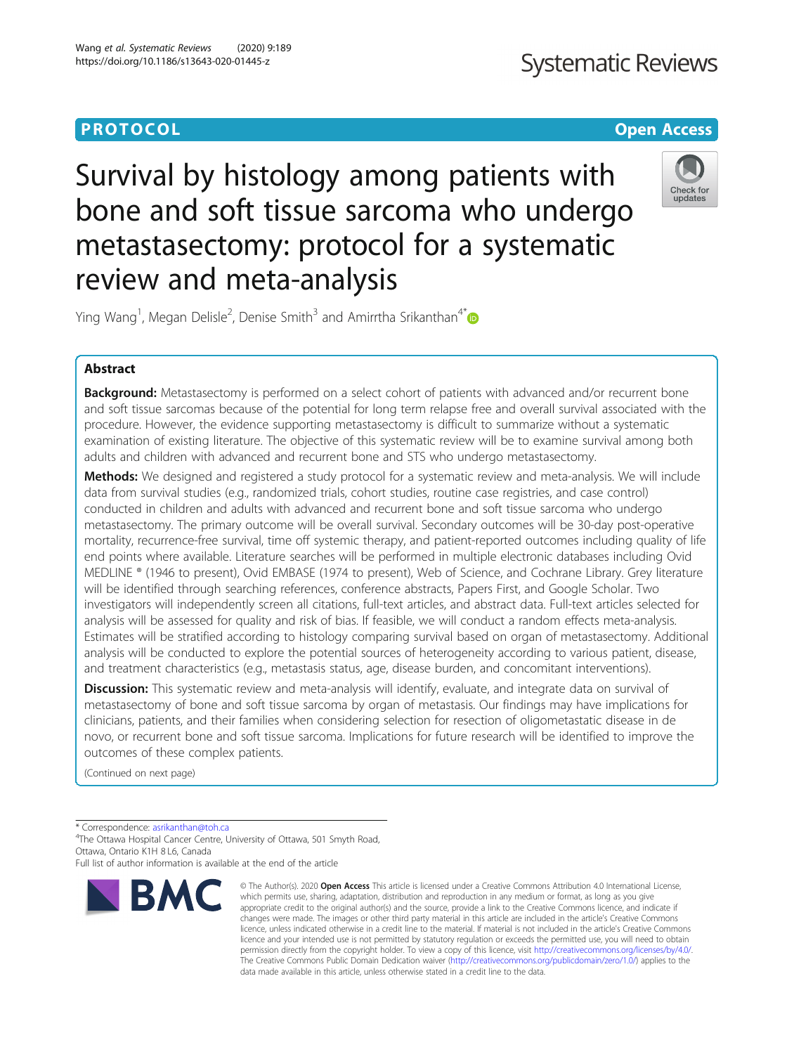# **Systematic Reviews**

## **PROTOCOL CONSUMING THE CONSUMING TEACHER CONSUMING THE CONSUMING TEACHER CONSUMING THE CONSUMING TEACHER CONSUMING**

# Survival by histology among patients with bone and soft tissue sarcoma who undergo metastasectomy: protocol for a systematic review and meta-analysis



Ying Wang<sup>1</sup>, Megan Delisle<sup>2</sup>, Denise Smith<sup>3</sup> and Amirrtha Srikanthan<sup>4[\\*](http://orcid.org/0000-0002-8903-0040)</sup>

### Abstract

**Background:** Metastasectomy is performed on a select cohort of patients with advanced and/or recurrent bone and soft tissue sarcomas because of the potential for long term relapse free and overall survival associated with the procedure. However, the evidence supporting metastasectomy is difficult to summarize without a systematic examination of existing literature. The objective of this systematic review will be to examine survival among both adults and children with advanced and recurrent bone and STS who undergo metastasectomy.

**Methods:** We designed and registered a study protocol for a systematic review and meta-analysis. We will include data from survival studies (e.g., randomized trials, cohort studies, routine case registries, and case control) conducted in children and adults with advanced and recurrent bone and soft tissue sarcoma who undergo metastasectomy. The primary outcome will be overall survival. Secondary outcomes will be 30-day post-operative mortality, recurrence-free survival, time off systemic therapy, and patient-reported outcomes including quality of life end points where available. Literature searches will be performed in multiple electronic databases including Ovid MEDLINE ® (1946 to present), Ovid EMBASE (1974 to present), Web of Science, and Cochrane Library. Grey literature will be identified through searching references, conference abstracts, Papers First, and Google Scholar. Two investigators will independently screen all citations, full-text articles, and abstract data. Full-text articles selected for analysis will be assessed for quality and risk of bias. If feasible, we will conduct a random effects meta-analysis. Estimates will be stratified according to histology comparing survival based on organ of metastasectomy. Additional analysis will be conducted to explore the potential sources of heterogeneity according to various patient, disease, and treatment characteristics (e.g., metastasis status, age, disease burden, and concomitant interventions).

Discussion: This systematic review and meta-analysis will identify, evaluate, and integrate data on survival of metastasectomy of bone and soft tissue sarcoma by organ of metastasis. Our findings may have implications for clinicians, patients, and their families when considering selection for resection of oligometastatic disease in de novo, or recurrent bone and soft tissue sarcoma. Implications for future research will be identified to improve the outcomes of these complex patients.

(Continued on next page)

\* Correspondence: [asrikanthan@toh.ca](mailto:asrikanthan@toh.ca) <sup>4</sup>

The Ottawa Hospital Cancer Centre, University of Ottawa, 501 Smyth Road, Ottawa, Ontario K1H 8 L6, Canada

Full list of author information is available at the end of the article



<sup>©</sup> The Author(s), 2020 **Open Access** This article is licensed under a Creative Commons Attribution 4.0 International License, which permits use, sharing, adaptation, distribution and reproduction in any medium or format, as long as you give appropriate credit to the original author(s) and the source, provide a link to the Creative Commons licence, and indicate if changes were made. The images or other third party material in this article are included in the article's Creative Commons licence, unless indicated otherwise in a credit line to the material. If material is not included in the article's Creative Commons licence and your intended use is not permitted by statutory regulation or exceeds the permitted use, you will need to obtain permission directly from the copyright holder. To view a copy of this licence, visit [http://creativecommons.org/licenses/by/4.0/.](http://creativecommons.org/licenses/by/4.0/) The Creative Commons Public Domain Dedication waiver [\(http://creativecommons.org/publicdomain/zero/1.0/](http://creativecommons.org/publicdomain/zero/1.0/)) applies to the data made available in this article, unless otherwise stated in a credit line to the data.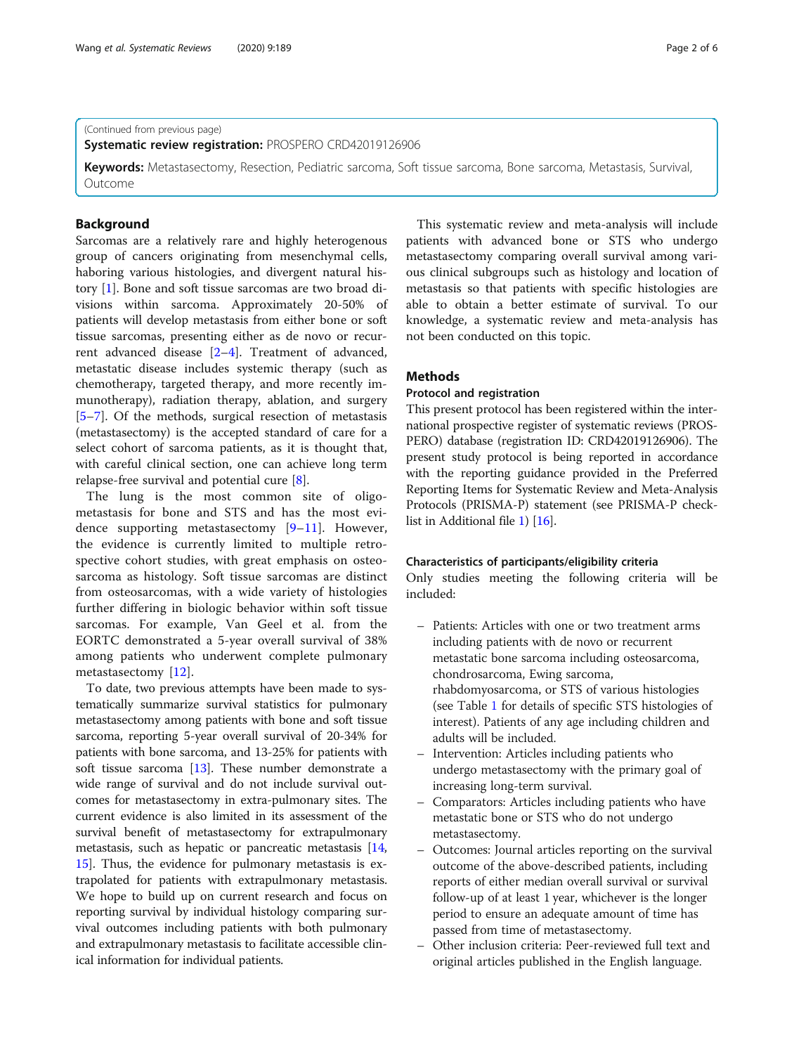#### (Continued from previous page)

Systematic review registration: PROSPERO CRD42019126906

Keywords: Metastasectomy, Resection, Pediatric sarcoma, Soft tissue sarcoma, Bone sarcoma, Metastasis, Survival, **Outcome** 

#### Background

Sarcomas are a relatively rare and highly heterogenous group of cancers originating from mesenchymal cells, haboring various histologies, and divergent natural history [\[1](#page-5-0)]. Bone and soft tissue sarcomas are two broad divisions within sarcoma. Approximately 20-50% of patients will develop metastasis from either bone or soft tissue sarcomas, presenting either as de novo or recurrent advanced disease [[2](#page-5-0)–[4](#page-5-0)]. Treatment of advanced, metastatic disease includes systemic therapy (such as chemotherapy, targeted therapy, and more recently immunotherapy), radiation therapy, ablation, and surgery [[5](#page-5-0)–[7\]](#page-5-0). Of the methods, surgical resection of metastasis (metastasectomy) is the accepted standard of care for a select cohort of sarcoma patients, as it is thought that, with careful clinical section, one can achieve long term relapse-free survival and potential cure [[8\]](#page-5-0).

The lung is the most common site of oligometastasis for bone and STS and has the most evidence supporting metastasectomy [\[9](#page-5-0)–[11](#page-5-0)]. However, the evidence is currently limited to multiple retrospective cohort studies, with great emphasis on osteosarcoma as histology. Soft tissue sarcomas are distinct from osteosarcomas, with a wide variety of histologies further differing in biologic behavior within soft tissue sarcomas. For example, Van Geel et al. from the EORTC demonstrated a 5-year overall survival of 38% among patients who underwent complete pulmonary metastasectomy [[12](#page-5-0)].

To date, two previous attempts have been made to systematically summarize survival statistics for pulmonary metastasectomy among patients with bone and soft tissue sarcoma, reporting 5-year overall survival of 20-34% for patients with bone sarcoma, and 13-25% for patients with soft tissue sarcoma [\[13](#page-5-0)]. These number demonstrate a wide range of survival and do not include survival outcomes for metastasectomy in extra-pulmonary sites. The current evidence is also limited in its assessment of the survival benefit of metastasectomy for extrapulmonary metastasis, such as hepatic or pancreatic metastasis [[14](#page-5-0), [15](#page-5-0)]. Thus, the evidence for pulmonary metastasis is extrapolated for patients with extrapulmonary metastasis. We hope to build up on current research and focus on reporting survival by individual histology comparing survival outcomes including patients with both pulmonary and extrapulmonary metastasis to facilitate accessible clinical information for individual patients.

This systematic review and meta-analysis will include patients with advanced bone or STS who undergo metastasectomy comparing overall survival among various clinical subgroups such as histology and location of metastasis so that patients with specific histologies are able to obtain a better estimate of survival. To our knowledge, a systematic review and meta-analysis has not been conducted on this topic.

### Methods

#### Protocol and registration

This present protocol has been registered within the international prospective register of systematic reviews (PROS-PERO) database (registration ID: CRD42019126906). The present study protocol is being reported in accordance with the reporting guidance provided in the Preferred Reporting Items for Systematic Review and Meta-Analysis Protocols (PRISMA-P) statement (see PRISMA-P checklist in Additional file [1\)](#page-4-0) [[16](#page-5-0)].

#### Characteristics of participants/eligibility criteria

Only studies meeting the following criteria will be included:

- Patients: Articles with one or two treatment arms including patients with de novo or recurrent metastatic bone sarcoma including osteosarcoma, chondrosarcoma, Ewing sarcoma, rhabdomyosarcoma, or STS of various histologies (see Table [1](#page-2-0) for details of specific STS histologies of interest). Patients of any age including children and adults will be included.
- Intervention: Articles including patients who undergo metastasectomy with the primary goal of increasing long-term survival.
- Comparators: Articles including patients who have metastatic bone or STS who do not undergo metastasectomy.
- Outcomes: Journal articles reporting on the survival outcome of the above-described patients, including reports of either median overall survival or survival follow-up of at least 1 year, whichever is the longer period to ensure an adequate amount of time has passed from time of metastasectomy.
- Other inclusion criteria: Peer-reviewed full text and original articles published in the English language.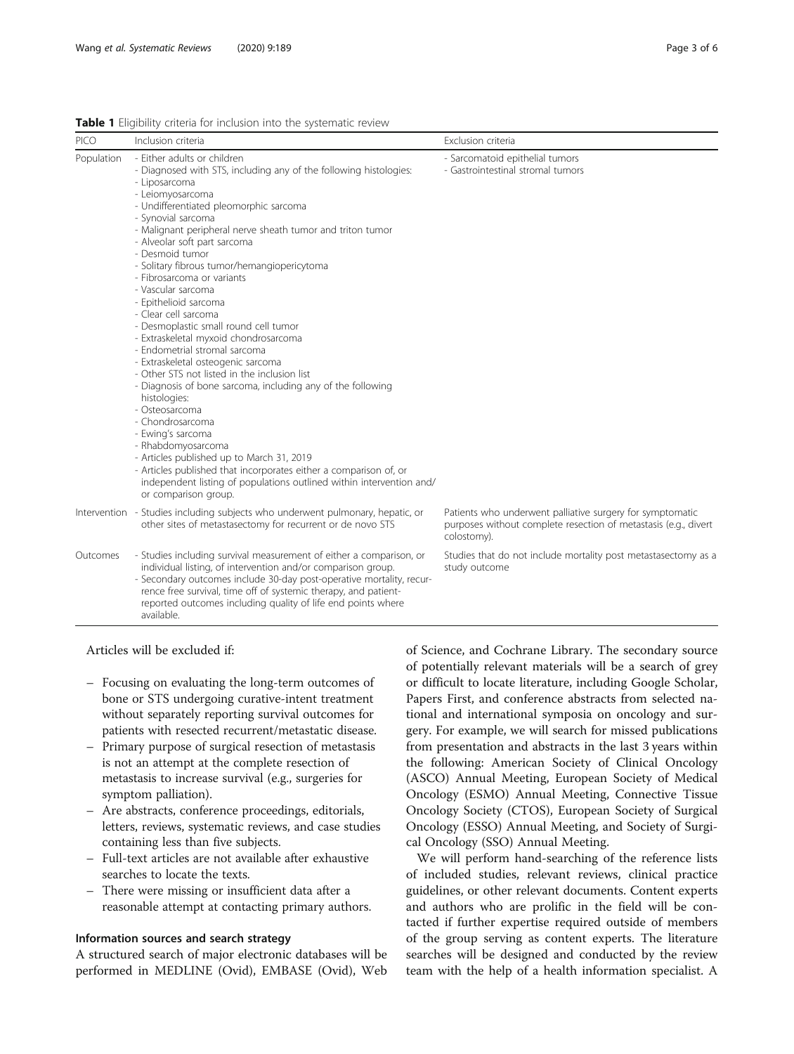<span id="page-2-0"></span>

|  |  |  | <b>Table 1</b> Eligibility criteria for inclusion into the systematic review |
|--|--|--|------------------------------------------------------------------------------|
|  |  |  |                                                                              |

| <b>PICO</b> | Inclusion criteria                                                                                                                                                                                                                                                                                                                                                                                                                                                                                                                                                                                                                                                                                                                                                                                                                                                                                                                                                                                                                                                    | Exclusion criteria                                                                                                                          |
|-------------|-----------------------------------------------------------------------------------------------------------------------------------------------------------------------------------------------------------------------------------------------------------------------------------------------------------------------------------------------------------------------------------------------------------------------------------------------------------------------------------------------------------------------------------------------------------------------------------------------------------------------------------------------------------------------------------------------------------------------------------------------------------------------------------------------------------------------------------------------------------------------------------------------------------------------------------------------------------------------------------------------------------------------------------------------------------------------|---------------------------------------------------------------------------------------------------------------------------------------------|
| Population  | - Either adults or children<br>- Diagnosed with STS, including any of the following histologies:<br>- Liposarcoma<br>- Leiomyosarcoma<br>- Undifferentiated pleomorphic sarcoma<br>- Synovial sarcoma<br>- Malignant peripheral nerve sheath tumor and triton tumor<br>- Alveolar soft part sarcoma<br>- Desmoid tumor<br>- Solitary fibrous tumor/hemangiopericytoma<br>- Fibrosarcoma or variants<br>- Vascular sarcoma<br>- Epithelioid sarcoma<br>- Clear cell sarcoma<br>- Desmoplastic small round cell tumor<br>- Extraskeletal myxoid chondrosarcoma<br>- Endometrial stromal sarcoma<br>- Extraskeletal osteogenic sarcoma<br>- Other STS not listed in the inclusion list<br>- Diagnosis of bone sarcoma, including any of the following<br>histologies:<br>- Osteosarcoma<br>- Chondrosarcoma<br>- Ewing's sarcoma<br>- Rhabdomyosarcoma<br>- Articles published up to March 31, 2019<br>- Articles published that incorporates either a comparison of, or<br>independent listing of populations outlined within intervention and/<br>or comparison group. | - Sarcomatoid epithelial tumors<br>- Gastrointestinal stromal tumors                                                                        |
|             | Intervention - Studies including subjects who underwent pulmonary, hepatic, or<br>other sites of metastasectomy for recurrent or de novo STS                                                                                                                                                                                                                                                                                                                                                                                                                                                                                                                                                                                                                                                                                                                                                                                                                                                                                                                          | Patients who underwent palliative surgery for symptomatic<br>purposes without complete resection of metastasis (e.g., divert<br>colostomy). |
| Outcomes    | - Studies including survival measurement of either a comparison, or<br>individual listing, of intervention and/or comparison group.<br>- Secondary outcomes include 30-day post-operative mortality, recur-<br>rence free survival, time off of systemic therapy, and patient-<br>reported outcomes including quality of life end points where<br>available.                                                                                                                                                                                                                                                                                                                                                                                                                                                                                                                                                                                                                                                                                                          | Studies that do not include mortality post metastasectomy as a<br>study outcome                                                             |

#### Articles will be excluded if:

- Focusing on evaluating the long-term outcomes of bone or STS undergoing curative-intent treatment without separately reporting survival outcomes for patients with resected recurrent/metastatic disease.
- Primary purpose of surgical resection of metastasis is not an attempt at the complete resection of metastasis to increase survival (e.g., surgeries for symptom palliation).
- Are abstracts, conference proceedings, editorials, letters, reviews, systematic reviews, and case studies containing less than five subjects.
- Full-text articles are not available after exhaustive searches to locate the texts.
- There were missing or insufficient data after a reasonable attempt at contacting primary authors.

### Information sources and search strategy

A structured search of major electronic databases will be performed in MEDLINE (Ovid), EMBASE (Ovid), Web of Science, and Cochrane Library. The secondary source of potentially relevant materials will be a search of grey or difficult to locate literature, including Google Scholar, Papers First, and conference abstracts from selected national and international symposia on oncology and surgery. For example, we will search for missed publications from presentation and abstracts in the last 3 years within the following: American Society of Clinical Oncology (ASCO) Annual Meeting, European Society of Medical Oncology (ESMO) Annual Meeting, Connective Tissue Oncology Society (CTOS), European Society of Surgical Oncology (ESSO) Annual Meeting, and Society of Surgical Oncology (SSO) Annual Meeting.

We will perform hand-searching of the reference lists of included studies, relevant reviews, clinical practice guidelines, or other relevant documents. Content experts and authors who are prolific in the field will be contacted if further expertise required outside of members of the group serving as content experts. The literature searches will be designed and conducted by the review team with the help of a health information specialist. A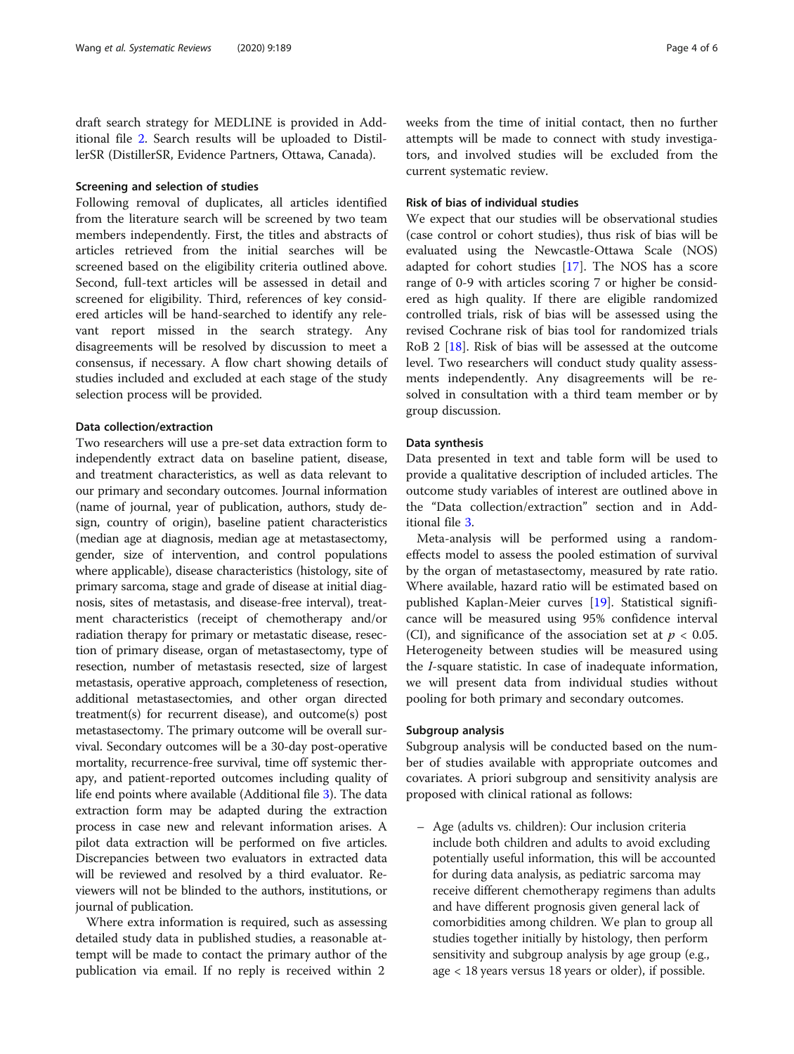draft search strategy for MEDLINE is provided in Additional file [2.](#page-4-0) Search results will be uploaded to DistillerSR (DistillerSR, Evidence Partners, Ottawa, Canada).

#### Screening and selection of studies

Following removal of duplicates, all articles identified from the literature search will be screened by two team members independently. First, the titles and abstracts of articles retrieved from the initial searches will be screened based on the eligibility criteria outlined above. Second, full-text articles will be assessed in detail and screened for eligibility. Third, references of key considered articles will be hand-searched to identify any relevant report missed in the search strategy. Any disagreements will be resolved by discussion to meet a consensus, if necessary. A flow chart showing details of studies included and excluded at each stage of the study selection process will be provided.

#### Data collection/extraction

Two researchers will use a pre-set data extraction form to independently extract data on baseline patient, disease, and treatment characteristics, as well as data relevant to our primary and secondary outcomes. Journal information (name of journal, year of publication, authors, study design, country of origin), baseline patient characteristics (median age at diagnosis, median age at metastasectomy, gender, size of intervention, and control populations where applicable), disease characteristics (histology, site of primary sarcoma, stage and grade of disease at initial diagnosis, sites of metastasis, and disease-free interval), treatment characteristics (receipt of chemotherapy and/or radiation therapy for primary or metastatic disease, resection of primary disease, organ of metastasectomy, type of resection, number of metastasis resected, size of largest metastasis, operative approach, completeness of resection, additional metastasectomies, and other organ directed treatment(s) for recurrent disease), and outcome(s) post metastasectomy. The primary outcome will be overall survival. Secondary outcomes will be a 30-day post-operative mortality, recurrence-free survival, time off systemic therapy, and patient-reported outcomes including quality of life end points where available (Additional file [3](#page-4-0)). The data extraction form may be adapted during the extraction process in case new and relevant information arises. A pilot data extraction will be performed on five articles. Discrepancies between two evaluators in extracted data will be reviewed and resolved by a third evaluator. Reviewers will not be blinded to the authors, institutions, or journal of publication.

Where extra information is required, such as assessing detailed study data in published studies, a reasonable attempt will be made to contact the primary author of the publication via email. If no reply is received within 2

attempts will be made to connect with study investigators, and involved studies will be excluded from the current systematic review.

#### Risk of bias of individual studies

We expect that our studies will be observational studies (case control or cohort studies), thus risk of bias will be evaluated using the Newcastle-Ottawa Scale (NOS) adapted for cohort studies [[17\]](#page-5-0). The NOS has a score range of 0-9 with articles scoring 7 or higher be considered as high quality. If there are eligible randomized controlled trials, risk of bias will be assessed using the revised Cochrane risk of bias tool for randomized trials RoB 2 [[18\]](#page-5-0). Risk of bias will be assessed at the outcome level. Two researchers will conduct study quality assessments independently. Any disagreements will be resolved in consultation with a third team member or by group discussion.

#### Data synthesis

Data presented in text and table form will be used to provide a qualitative description of included articles. The outcome study variables of interest are outlined above in the "Data collection/extraction" section and in Additional file [3.](#page-4-0)

Meta-analysis will be performed using a randomeffects model to assess the pooled estimation of survival by the organ of metastasectomy, measured by rate ratio. Where available, hazard ratio will be estimated based on published Kaplan-Meier curves [[19](#page-5-0)]. Statistical significance will be measured using 95% confidence interval (CI), and significance of the association set at  $p < 0.05$ . Heterogeneity between studies will be measured using the I-square statistic. In case of inadequate information, we will present data from individual studies without pooling for both primary and secondary outcomes.

#### Subgroup analysis

Subgroup analysis will be conducted based on the number of studies available with appropriate outcomes and covariates. A priori subgroup and sensitivity analysis are proposed with clinical rational as follows:

– Age (adults vs. children): Our inclusion criteria include both children and adults to avoid excluding potentially useful information, this will be accounted for during data analysis, as pediatric sarcoma may receive different chemotherapy regimens than adults and have different prognosis given general lack of comorbidities among children. We plan to group all studies together initially by histology, then perform sensitivity and subgroup analysis by age group (e.g., age < 18 years versus 18 years or older), if possible.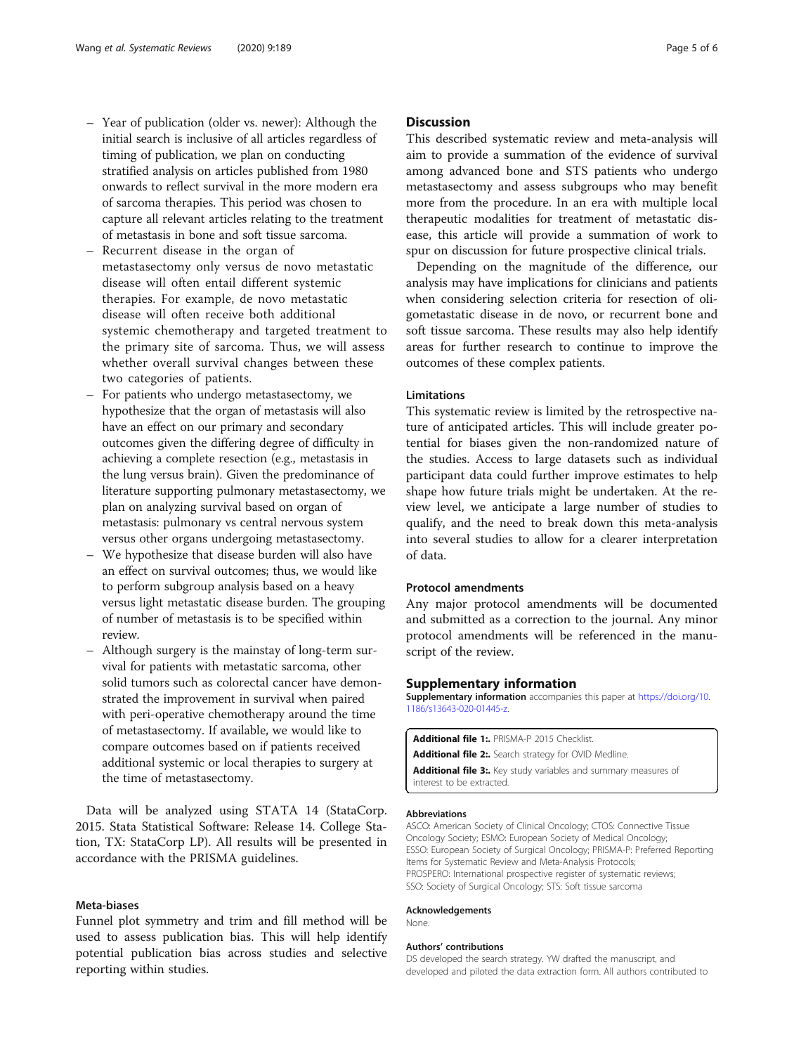- <span id="page-4-0"></span>– Year of publication (older vs. newer): Although the initial search is inclusive of all articles regardless of timing of publication, we plan on conducting stratified analysis on articles published from 1980 onwards to reflect survival in the more modern era of sarcoma therapies. This period was chosen to capture all relevant articles relating to the treatment of metastasis in bone and soft tissue sarcoma.
- Recurrent disease in the organ of metastasectomy only versus de novo metastatic disease will often entail different systemic therapies. For example, de novo metastatic disease will often receive both additional systemic chemotherapy and targeted treatment to the primary site of sarcoma. Thus, we will assess whether overall survival changes between these two categories of patients.
- For patients who undergo metastasectomy, we hypothesize that the organ of metastasis will also have an effect on our primary and secondary outcomes given the differing degree of difficulty in achieving a complete resection (e.g., metastasis in the lung versus brain). Given the predominance of literature supporting pulmonary metastasectomy, we plan on analyzing survival based on organ of metastasis: pulmonary vs central nervous system versus other organs undergoing metastasectomy.
- We hypothesize that disease burden will also have an effect on survival outcomes; thus, we would like to perform subgroup analysis based on a heavy versus light metastatic disease burden. The grouping of number of metastasis is to be specified within review.
- Although surgery is the mainstay of long-term survival for patients with metastatic sarcoma, other solid tumors such as colorectal cancer have demonstrated the improvement in survival when paired with peri-operative chemotherapy around the time of metastasectomy. If available, we would like to compare outcomes based on if patients received additional systemic or local therapies to surgery at the time of metastasectomy.

Data will be analyzed using STATA 14 (StataCorp. 2015. Stata Statistical Software: Release 14. College Station, TX: StataCorp LP). All results will be presented in accordance with the PRISMA guidelines.

#### Meta-biases

Funnel plot symmetry and trim and fill method will be used to assess publication bias. This will help identify potential publication bias across studies and selective reporting within studies.

#### **Discussion**

This described systematic review and meta-analysis will aim to provide a summation of the evidence of survival among advanced bone and STS patients who undergo metastasectomy and assess subgroups who may benefit more from the procedure. In an era with multiple local therapeutic modalities for treatment of metastatic disease, this article will provide a summation of work to spur on discussion for future prospective clinical trials.

Depending on the magnitude of the difference, our analysis may have implications for clinicians and patients when considering selection criteria for resection of oligometastatic disease in de novo, or recurrent bone and soft tissue sarcoma. These results may also help identify areas for further research to continue to improve the outcomes of these complex patients.

#### Limitations

This systematic review is limited by the retrospective nature of anticipated articles. This will include greater potential for biases given the non-randomized nature of the studies. Access to large datasets such as individual participant data could further improve estimates to help shape how future trials might be undertaken. At the review level, we anticipate a large number of studies to qualify, and the need to break down this meta-analysis into several studies to allow for a clearer interpretation of data.

#### Protocol amendments

Any major protocol amendments will be documented and submitted as a correction to the journal. Any minor protocol amendments will be referenced in the manuscript of the review.

#### Supplementary information

Supplementary information accompanies this paper at [https://doi.org/10.](https://doi.org/10.1186/s13643-020-01445-z) [1186/s13643-020-01445-z.](https://doi.org/10.1186/s13643-020-01445-z)

Additional file 1: PRISMA-P 2015 Checklist. Additional file 2:. Search strategy for OVID Medline. Additional file 3:. Key study variables and summary measures of interest to be extracted.

#### Abbreviations

ASCO: American Society of Clinical Oncology; CTOS: Connective Tissue Oncology Society; ESMO: European Society of Medical Oncology; ESSO: European Society of Surgical Oncology; PRISMA-P: Preferred Reporting Items for Systematic Review and Meta-Analysis Protocols; PROSPERO: International prospective register of systematic reviews; SSO: Society of Surgical Oncology; STS: Soft tissue sarcoma

#### Acknowledgements

None.

#### Authors' contributions

DS developed the search strategy. YW drafted the manuscript, and developed and piloted the data extraction form. All authors contributed to